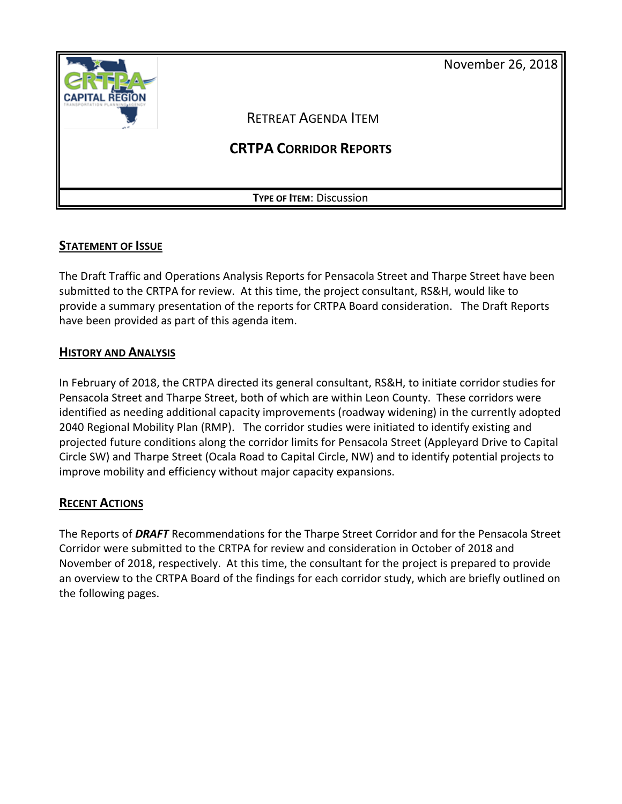November 26, 2018



# **STATEMENT OF ISSUE**

The Draft Traffic and Operations Analysis Reports for Pensacola Street and Tharpe Street have been submitted to the CRTPA for review. At this time, the project consultant, RS&H, would like to provide a summary presentation of the reports for CRTPA Board consideration. The Draft Reports have been provided as part of this agenda item.

# **HISTORY AND ANALYSIS**

In February of 2018, the CRTPA directed its general consultant, RS&H, to initiate corridor studies for Pensacola Street and Tharpe Street, both of which are within Leon County. These corridors were identified as needing additional capacity improvements (roadway widening) in the currently adopted 2040 Regional Mobility Plan (RMP). The corridor studies were initiated to identify existing and projected future conditions along the corridor limits for Pensacola Street (Appleyard Drive to Capital Circle SW) and Tharpe Street (Ocala Road to Capital Circle, NW) and to identify potential projects to improve mobility and efficiency without major capacity expansions.

# **RECENT ACTIONS**

The Reports of *DRAFT* Recommendations for the Tharpe Street Corridor and for the Pensacola Street Corridor were submitted to the CRTPA for review and consideration in October of 2018 and November of 2018, respectively. At this time, the consultant for the project is prepared to provide an overview to the CRTPA Board of the findings for each corridor study, which are briefly outlined on the following pages.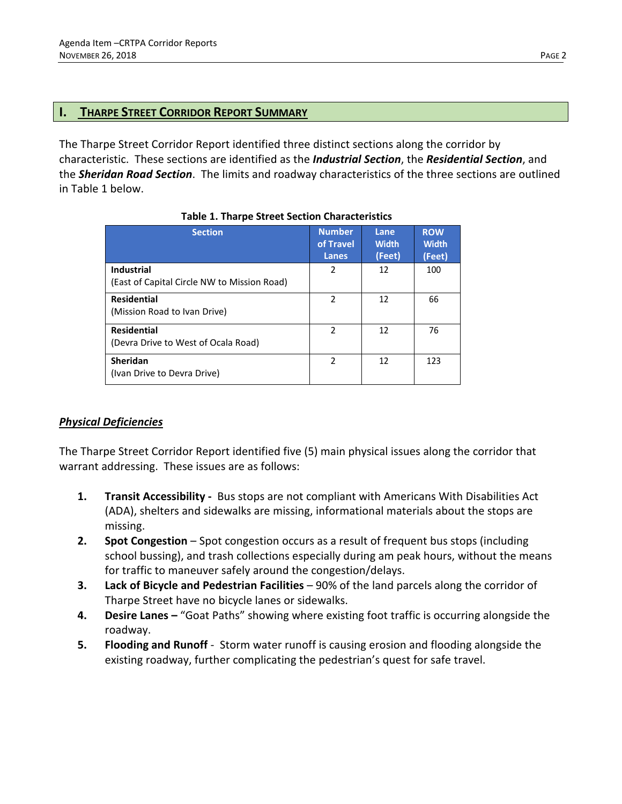## **I. THARPE STREET CORRIDOR REPORT SUMMARY**

The Tharpe Street Corridor Report identified three distinct sections along the corridor by characteristic. These sections are identified as the *Industrial Section*, the *Residential Section*, and the *Sheridan Road Section*. The limits and roadway characteristics of the three sections are outlined in Table 1 below.

| <b>Section</b>                              | <b>Number</b><br>of Travel<br>Lanes | Lane<br><b>Width</b><br>(Feet) | <b>ROW</b><br><b>Width</b><br>(Feet) |
|---------------------------------------------|-------------------------------------|--------------------------------|--------------------------------------|
| <b>Industrial</b>                           | 2                                   | 12                             | 100                                  |
| (East of Capital Circle NW to Mission Road) |                                     |                                |                                      |
| <b>Residential</b>                          | $\overline{\phantom{a}}$            | 12                             | 66                                   |
| (Mission Road to Ivan Drive)                |                                     |                                |                                      |
| <b>Residential</b>                          | $\overline{\phantom{a}}$            | 12                             | 76                                   |
| (Devra Drive to West of Ocala Road)         |                                     |                                |                                      |
| Sheridan                                    | $\overline{\phantom{a}}$            | 12                             | 123                                  |
| (Ivan Drive to Devra Drive)                 |                                     |                                |                                      |

# *Physical Deficiencies*

The Tharpe Street Corridor Report identified five (5) main physical issues along the corridor that warrant addressing. These issues are as follows:

- **1. Transit Accessibility -** Bus stops are not compliant with Americans With Disabilities Act (ADA), shelters and sidewalks are missing, informational materials about the stops are missing.
- **2. Spot Congestion** Spot congestion occurs as a result of frequent bus stops (including school bussing), and trash collections especially during am peak hours, without the means for traffic to maneuver safely around the congestion/delays.
- **3. Lack of Bicycle and Pedestrian Facilities** 90% of the land parcels along the corridor of Tharpe Street have no bicycle lanes or sidewalks.
- **4. Desire Lanes –** "Goat Paths" showing where existing foot traffic is occurring alongside the roadway.
- **5. Flooding and Runoff** Storm water runoff is causing erosion and flooding alongside the existing roadway, further complicating the pedestrian's quest for safe travel.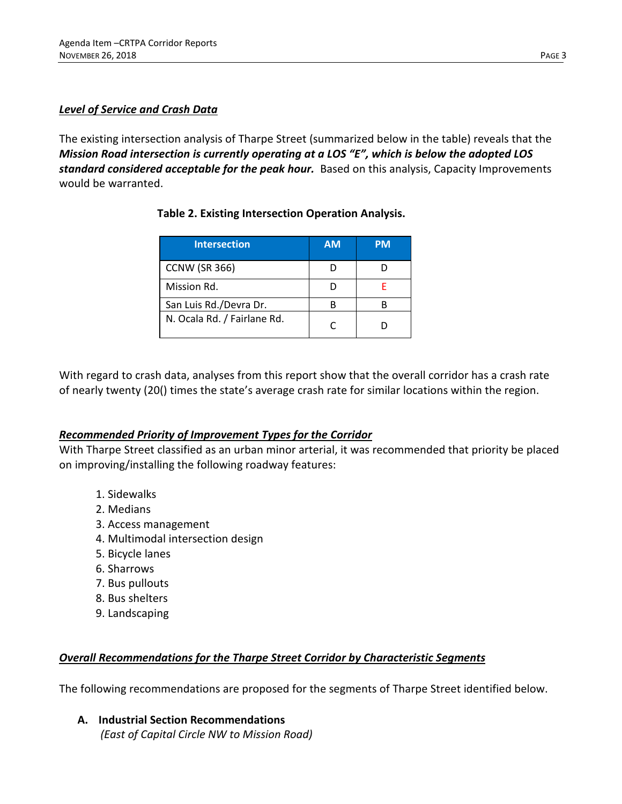### *Level of Service and Crash Data*

The existing intersection analysis of Tharpe Street (summarized below in the table) reveals that the *Mission Road intersection is currently operating at a LOS "E", which is below the adopted LOS standard considered acceptable for the peak hour.* Based on this analysis, Capacity Improvements would be warranted.

| <b>Table 2. Existing Intersection Operation Analysis.</b> |
|-----------------------------------------------------------|
|                                                           |

| <b>Intersection</b>         | <b>AM</b> | PМ |
|-----------------------------|-----------|----|
| <b>CCNW (SR 366)</b>        |           |    |
| Mission Rd.                 |           |    |
| San Luis Rd./Devra Dr.      |           |    |
| N. Ocala Rd. / Fairlane Rd. |           |    |

With regard to crash data, analyses from this report show that the overall corridor has a crash rate of nearly twenty (20() times the state's average crash rate for similar locations within the region.

# *Recommended Priority of Improvement Types for the Corridor*

With Tharpe Street classified as an urban minor arterial, it was recommended that priority be placed on improving/installing the following roadway features:

- 1. Sidewalks
- 2. Medians
- 3. Access management
- 4. Multimodal intersection design
- 5. Bicycle lanes
- 6. Sharrows
- 7. Bus pullouts
- 8. Bus shelters
- 9. Landscaping

# *Overall Recommendations for the Tharpe Street Corridor by Characteristic Segments*

The following recommendations are proposed for the segments of Tharpe Street identified below.

**A. Industrial Section Recommendations** *(East of Capital Circle NW to Mission Road)*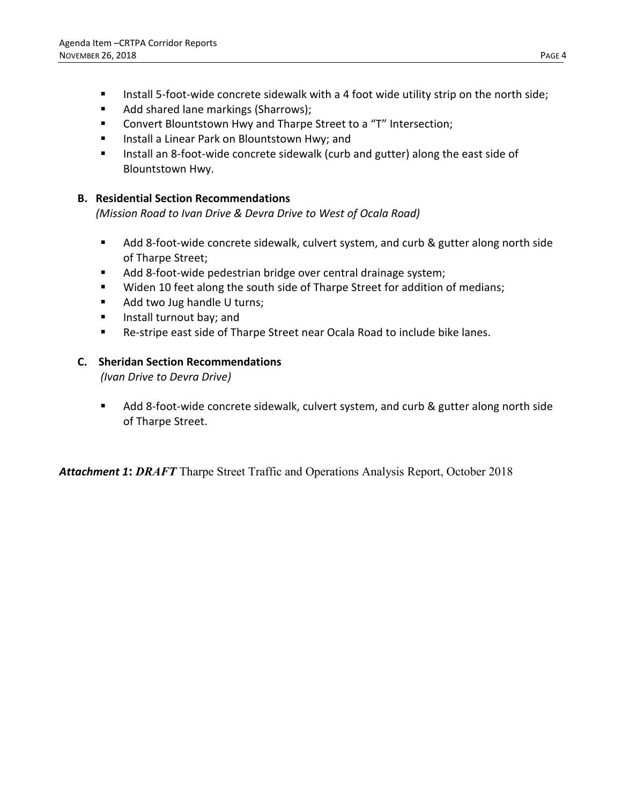- Install 5-foot-wide concrete sidewalk with a 4 foot wide utility strip on the north side;
- Add shared lane markings (Sharrows);
- Convert Blountstown Hwy and Tharpe Street to a "T" Intersection;
- **Install a Linear Park on Blountstown Hwy; and**
- **Install an 8-foot-wide concrete sidewalk (curb and gutter) along the east side of** Blountstown Hwy.

## **B. Residential Section Recommendations**

*(Mission Road to Ivan Drive & Devra Drive to West of Ocala Road)*

- Add 8-foot-wide concrete sidewalk, culvert system, and curb & gutter along north side of Tharpe Street;
- Add 8-foot-wide pedestrian bridge over central drainage system;
- **Widen 10 feet along the south side of Tharpe Street for addition of medians;**
- Add two Jug handle U turns;
- **Install turnout bay; and**
- Re-stripe east side of Tharpe Street near Ocala Road to include bike lanes.

### **C. Sheridan Section Recommendations**

*(Ivan Drive to Devra Drive)*

Add 8-foot-wide concrete sidewalk, culvert system, and curb & gutter along north side of Tharpe Street.

*Attachment 1***:** *DRAFT* Tharpe Street Traffic and Operations Analysis Report, October 2018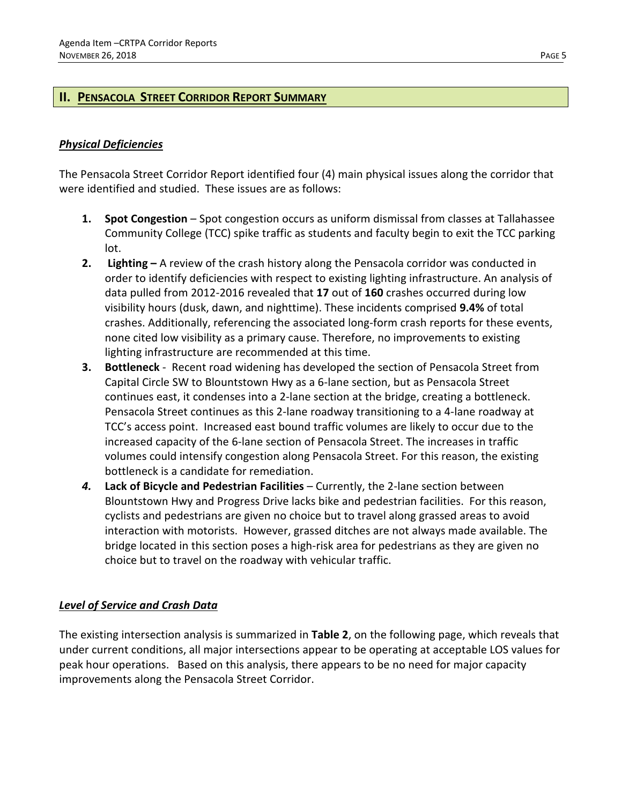## **II. PENSACOLA STREET CORRIDOR REPORT SUMMARY**

## *Physical Deficiencies*

The Pensacola Street Corridor Report identified four (4) main physical issues along the corridor that were identified and studied. These issues are as follows:

- **1. Spot Congestion**  Spot congestion occurs as uniform dismissal from classes at Tallahassee Community College (TCC) spike traffic as students and faculty begin to exit the TCC parking lot.
- **2. Lighting –** A review of the crash history along the Pensacola corridor was conducted in order to identify deficiencies with respect to existing lighting infrastructure. An analysis of data pulled from 2012-2016 revealed that **17** out of **160** crashes occurred during low visibility hours (dusk, dawn, and nighttime). These incidents comprised **9.4%** of total crashes. Additionally, referencing the associated long-form crash reports for these events, none cited low visibility as a primary cause. Therefore, no improvements to existing lighting infrastructure are recommended at this time.
- **3. Bottleneck**  Recent road widening has developed the section of Pensacola Street from Capital Circle SW to Blountstown Hwy as a 6-lane section, but as Pensacola Street continues east, it condenses into a 2-lane section at the bridge, creating a bottleneck. Pensacola Street continues as this 2-lane roadway transitioning to a 4-lane roadway at TCC's access point. Increased east bound traffic volumes are likely to occur due to the increased capacity of the 6-lane section of Pensacola Street. The increases in traffic volumes could intensify congestion along Pensacola Street. For this reason, the existing bottleneck is a candidate for remediation.
- *4.* **Lack of Bicycle and Pedestrian Facilities**  Currently, the 2-lane section between Blountstown Hwy and Progress Drive lacks bike and pedestrian facilities. For this reason, cyclists and pedestrians are given no choice but to travel along grassed areas to avoid interaction with motorists. However, grassed ditches are not always made available. The bridge located in this section poses a high-risk area for pedestrians as they are given no choice but to travel on the roadway with vehicular traffic.

### *Level of Service and Crash Data*

The existing intersection analysis is summarized in **Table 2**, on the following page, which reveals that under current conditions, all major intersections appear to be operating at acceptable LOS values for peak hour operations. Based on this analysis, there appears to be no need for major capacity improvements along the Pensacola Street Corridor.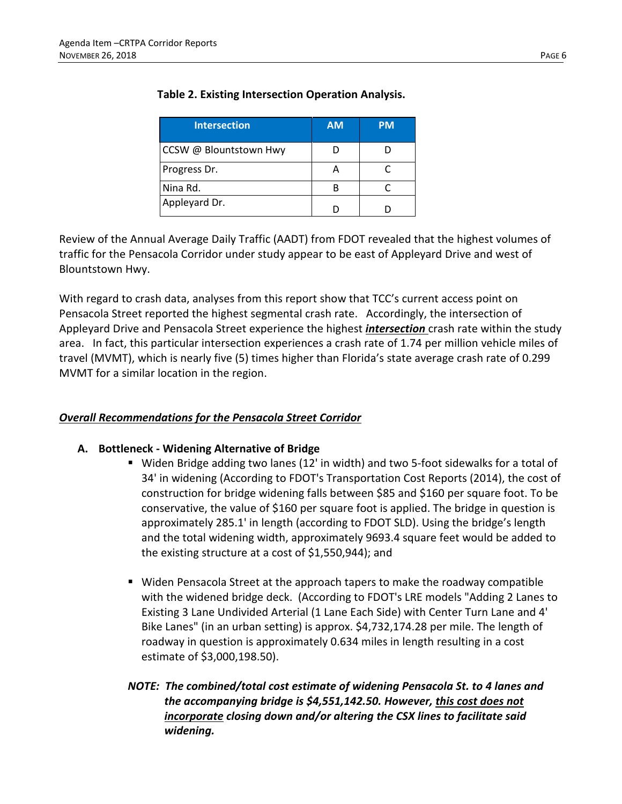| <b>Intersection</b>    | <b>AM</b> | <b>PM</b> |
|------------------------|-----------|-----------|
| CCSW @ Blountstown Hwy |           |           |
| Progress Dr.           |           |           |
| Nina Rd.               |           |           |
| Appleyard Dr.          |           |           |

# **Table 2. Existing Intersection Operation Analysis.**

Review of the Annual Average Daily Traffic (AADT) from FDOT revealed that the highest volumes of traffic for the Pensacola Corridor under study appear to be east of Appleyard Drive and west of Blountstown Hwy.

With regard to crash data, analyses from this report show that TCC's current access point on Pensacola Street reported the highest segmental crash rate. Accordingly, the intersection of Appleyard Drive and Pensacola Street experience the highest *intersection* crash rate within the study area. In fact, this particular intersection experiences a crash rate of 1.74 per million vehicle miles of travel (MVMT), which is nearly five (5) times higher than Florida's state average crash rate of 0.299 MVMT for a similar location in the region.

# *Overall Recommendations for the Pensacola Street Corridor*

### **A. Bottleneck - Widening Alternative of Bridge**

- Widen Bridge adding two lanes (12' in width) and two 5-foot sidewalks for a total of 34' in widening (According to FDOT's Transportation Cost Reports (2014), the cost of construction for bridge widening falls between \$85 and \$160 per square foot. To be conservative, the value of \$160 per square foot is applied. The bridge in question is approximately 285.1' in length (according to FDOT SLD). Using the bridge's length and the total widening width, approximately 9693.4 square feet would be added to the existing structure at a cost of \$1,550,944); and
- Widen Pensacola Street at the approach tapers to make the roadway compatible with the widened bridge deck. (According to FDOT's LRE models "Adding 2 Lanes to Existing 3 Lane Undivided Arterial (1 Lane Each Side) with Center Turn Lane and 4' Bike Lanes" (in an urban setting) is approx. \$4,732,174.28 per mile. The length of roadway in question is approximately 0.634 miles in length resulting in a cost estimate of \$3,000,198.50).
- *NOTE: The combined/total cost estimate of widening Pensacola St. to 4 lanes and the accompanying bridge is \$4,551,142.50. However, this cost does not incorporate closing down and/or altering the CSX lines to facilitate said widening.*